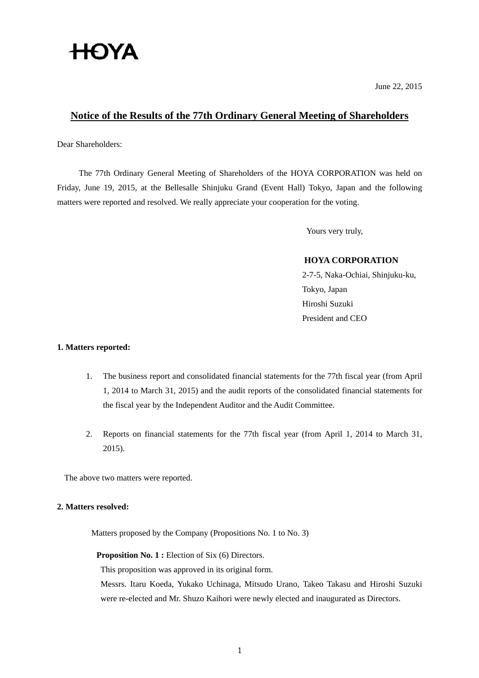# **HOYA**

June 22, 2015

## **Notice of the Results of the 77th Ordinary General Meeting of Shareholders**

Dear Shareholders:

The 77th Ordinary General Meeting of Shareholders of the HOYA CORPORATION was held on Friday, June 19, 2015, at the Bellesalle Shinjuku Grand (Event Hall) Tokyo, Japan and the following matters were reported and resolved. We really appreciate your cooperation for the voting.

Yours very truly,

## **HOYA CORPORATION**

2-7-5, Naka-Ochiai, Shinjuku-ku, Tokyo, Japan Hiroshi Suzuki President and CEO

## **1. Matters reported:**

- 1. The business report and consolidated financial statements for the 77th fiscal year (from April 1, 2014 to March 31, 2015) and the audit reports of the consolidated financial statements for the fiscal year by the Independent Auditor and the Audit Committee.
- 2. Reports on financial statements for the 77th fiscal year (from April 1, 2014 to March 31, 2015).

The above two matters were reported.

#### **2. Matters resolved:**

Matters proposed by the Company (Propositions No. 1 to No. 3)

**Proposition No. 1 :** Election of Six (6) Directors.

This proposition was approved in its original form.

 Messrs. Itaru Koeda, Yukako Uchinaga, Mitsudo Urano, Takeo Takasu and Hiroshi Suzuki were re-elected and Mr. Shuzo Kaihori were newly elected and inaugurated as Directors.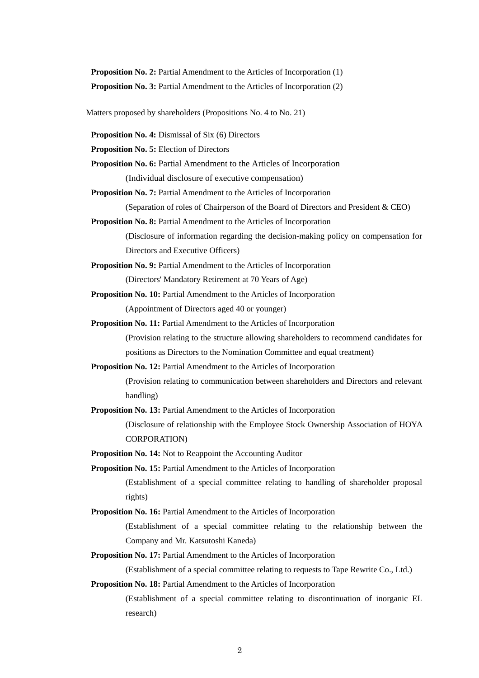**Proposition No. 2:** Partial Amendment to the Articles of Incorporation (1) **Proposition No. 3:** Partial Amendment to the Articles of Incorporation (2)

Matters proposed by shareholders (Propositions No. 4 to No. 21)

**Proposition No. 4:** Dismissal of Six (6) Directors

**Proposition No. 5:** Election of Directors

**Proposition No. 6:** Partial Amendment to the Articles of Incorporation (Individual disclosure of executive compensation)

**Proposition No. 7:** Partial Amendment to the Articles of Incorporation

(Separation of roles of Chairperson of the Board of Directors and President & CEO)

**Proposition No. 8:** Partial Amendment to the Articles of Incorporation

 (Disclosure of information regarding the decision-making policy on compensation for Directors and Executive Officers)

**Proposition No. 9:** Partial Amendment to the Articles of Incorporation (Directors' Mandatory Retirement at 70 Years of Age)

**Proposition No. 10:** Partial Amendment to the Articles of Incorporation

(Appointment of Directors aged 40 or younger)

**Proposition No. 11:** Partial Amendment to the Articles of Incorporation

 (Provision relating to the structure allowing shareholders to recommend candidates for positions as Directors to the Nomination Committee and equal treatment)

**Proposition No. 12:** Partial Amendment to the Articles of Incorporation

 (Provision relating to communication between shareholders and Directors and relevant handling)

**Proposition No. 13:** Partial Amendment to the Articles of Incorporation

 (Disclosure of relationship with the Employee Stock Ownership Association of HOYA CORPORATION)

**Proposition No. 14:** Not to Reappoint the Accounting Auditor

**Proposition No. 15:** Partial Amendment to the Articles of Incorporation (Establishment of a special committee relating to handling of shareholder proposal rights)

**Proposition No. 16:** Partial Amendment to the Articles of Incorporation

 (Establishment of a special committee relating to the relationship between the Company and Mr. Katsutoshi Kaneda)

**Proposition No. 17:** Partial Amendment to the Articles of Incorporation

(Establishment of a special committee relating to requests to Tape Rewrite Co., Ltd.)

**Proposition No. 18:** Partial Amendment to the Articles of Incorporation

 (Establishment of a special committee relating to discontinuation of inorganic EL research)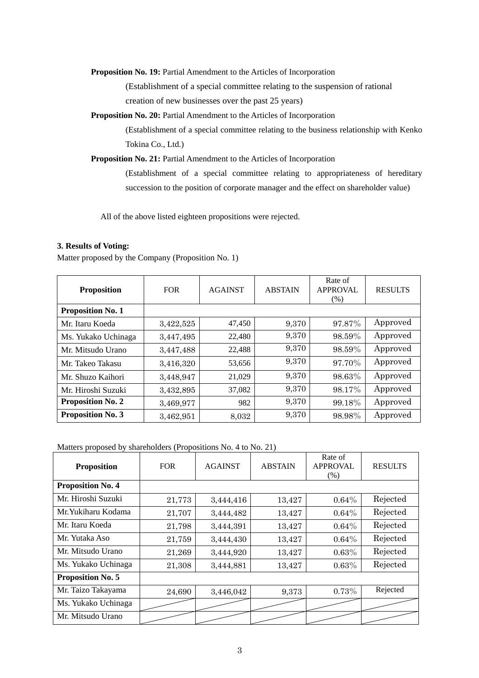**Proposition No. 19:** Partial Amendment to the Articles of Incorporation

 (Establishment of a special committee relating to the suspension of rational creation of new businesses over the past 25 years)

**Proposition No. 20:** Partial Amendment to the Articles of Incorporation

 (Establishment of a special committee relating to the business relationship with Kenko Tokina Co., Ltd.)

**Proposition No. 21:** Partial Amendment to the Articles of Incorporation

 (Establishment of a special committee relating to appropriateness of hereditary succession to the position of corporate manager and the effect on shareholder value)

All of the above listed eighteen propositions were rejected.

#### **3. Results of Voting:**

Matter proposed by the Company (Proposition No. 1)

| <b>Proposition</b>       | <b>FOR</b> | <b>AGAINST</b> | <b>ABSTAIN</b> | Rate of<br><b>APPROVAL</b><br>$(\% )$ | <b>RESULTS</b> |
|--------------------------|------------|----------------|----------------|---------------------------------------|----------------|
| <b>Proposition No. 1</b> |            |                |                |                                       |                |
| Mr. Itaru Koeda          | 3,422,525  | 47,450         | 9,370          | 97.87%                                | Approved       |
| Ms. Yukako Uchinaga      | 3,447,495  | 22,480         | 9,370          | 98.59%                                | Approved       |
| Mr. Mitsudo Urano        | 3,447,488  | 22,488         | 9,370          | 98.59%                                | Approved       |
| Mr. Takeo Takasu         | 3,416,320  | 53,656         | 9,370          | 97.70%                                | Approved       |
| Mr. Shuzo Kaihori        | 3,448,947  | 21,029         | 9,370          | 98.63%                                | Approved       |
| Mr. Hiroshi Suzuki       | 3,432,895  | 37,082         | 9,370          | 98.17%                                | Approved       |
| <b>Proposition No. 2</b> | 3,469,977  | 982            | 9,370          | 99.18%                                | Approved       |
| <b>Proposition No. 3</b> | 3,462,951  | 8,032          | 9,370          | 98.98%                                | Approved       |

Matters proposed by shareholders (Propositions No. 4 to No. 21)

| <b>Proposition</b>       | <b>FOR</b> | <b>AGAINST</b> | <b>ABSTAIN</b> | Rate of<br><b>APPROVAL</b><br>(% ) | <b>RESULTS</b> |
|--------------------------|------------|----------------|----------------|------------------------------------|----------------|
| <b>Proposition No. 4</b> |            |                |                |                                    |                |
| Mr. Hiroshi Suzuki       | 21,773     | 3,444,416      | 13,427         | $0.64\%$                           | Rejected       |
| Mr. Yukiharu Kodama      | 21,707     | 3,444,482      | 13,427         | $0.64\%$                           | Rejected       |
| Mr. Itaru Koeda          | 21,798     | 3,444,391      | 13,427         | $0.64\%$                           | Rejected       |
| Mr. Yutaka Aso           | 21,759     | 3,444,430      | 13,427         | $0.64\%$                           | Rejected       |
| Mr. Mitsudo Urano        | 21,269     | 3,444,920      | 13,427         | $0.63\%$                           | Rejected       |
| Ms. Yukako Uchinaga      | 21,308     | 3,444,881      | 13,427         | $0.63\%$                           | Rejected       |
| <b>Proposition No. 5</b> |            |                |                |                                    |                |
| Mr. Taizo Takayama       | 24,690     | 3,446,042      | 9,373          | 0.73%                              | Rejected       |
| Ms. Yukako Uchinaga      |            |                |                |                                    |                |
| Mr. Mitsudo Urano        |            |                |                |                                    |                |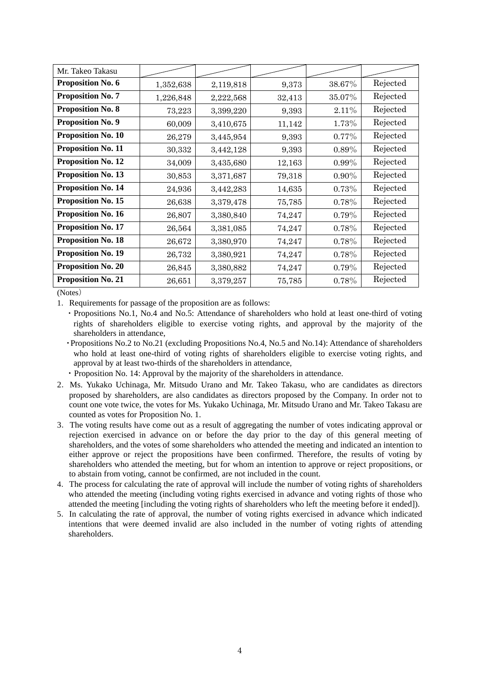| Mr. Takeo Takasu          |           |           |        |          |          |
|---------------------------|-----------|-----------|--------|----------|----------|
| Proposition No. 6         | 1,352,638 | 2,119,818 | 9,373  | 38.67%   | Rejected |
| <b>Proposition No. 7</b>  | 1,226,848 | 2,222,568 | 32,413 | 35.07%   | Rejected |
| <b>Proposition No. 8</b>  | 73,223    | 3,399,220 | 9,393  | 2.11%    | Rejected |
| <b>Proposition No. 9</b>  | 60,009    | 3,410,675 | 11,142 | 1.73%    | Rejected |
| <b>Proposition No. 10</b> | 26,279    | 3,445,954 | 9,393  | $0.77\%$ | Rejected |
| <b>Proposition No. 11</b> | 30,332    | 3,442,128 | 9,393  | 0.89%    | Rejected |
| <b>Proposition No. 12</b> | 34,009    | 3,435,680 | 12,163 | $0.99\%$ | Rejected |
| <b>Proposition No. 13</b> | 30,853    | 3,371,687 | 79,318 | $0.90\%$ | Rejected |
| <b>Proposition No. 14</b> | 24,936    | 3,442,283 | 14,635 | 0.73%    | Rejected |
| <b>Proposition No. 15</b> | 26,638    | 3,379,478 | 75,785 | 0.78%    | Rejected |
| Proposition No. 16        | 26,807    | 3,380,840 | 74,247 | 0.79%    | Rejected |
| <b>Proposition No. 17</b> | 26,564    | 3,381,085 | 74,247 | 0.78%    | Rejected |
| <b>Proposition No. 18</b> | 26,672    | 3,380,970 | 74,247 | 0.78%    | Rejected |
| <b>Proposition No. 19</b> | 26,732    | 3,380,921 | 74,247 | 0.78%    | Rejected |
| <b>Proposition No. 20</b> | 26,845    | 3,380,882 | 74,247 | 0.79%    | Rejected |
| <b>Proposition No. 21</b> | 26,651    | 3,379,257 | 75,785 | 0.78%    | Rejected |

(Notes)

1.Requirements for passage of the proposition are as follows:

・Propositions No.1, No.4 and No.5: Attendance of shareholders who hold at least one-third of voting rights of shareholders eligible to exercise voting rights, and approval by the majority of the shareholders in attendance,

- ・Propositions No.2 to No.21 (excluding Propositions No.4, No.5 and No.14): Attendance of shareholders who hold at least one-third of voting rights of shareholders eligible to exercise voting rights, and approval by at least two-thirds of the shareholders in attendance,
- ・Proposition No. 14: Approval by the majority of the shareholders in attendance.
- 2.Ms. Yukako Uchinaga, Mr. Mitsudo Urano and Mr. Takeo Takasu, who are candidates as directors proposed by shareholders, are also candidates as directors proposed by the Company. In order not to count one vote twice, the votes for Ms. Yukako Uchinaga, Mr. Mitsudo Urano and Mr. Takeo Takasu are counted as votes for Proposition No. 1.
- 3.The voting results have come out as a result of aggregating the number of votes indicating approval or rejection exercised in advance on or before the day prior to the day of this general meeting of shareholders, and the votes of some shareholders who attended the meeting and indicated an intention to either approve or reject the propositions have been confirmed. Therefore, the results of voting by shareholders who attended the meeting, but for whom an intention to approve or reject propositions, or to abstain from voting, cannot be confirmed, are not included in the count.
- 4.The process for calculating the rate of approval will include the number of voting rights of shareholders who attended the meeting (including voting rights exercised in advance and voting rights of those who attended the meeting [including the voting rights of shareholders who left the meeting before it ended]).
- 5.In calculating the rate of approval, the number of voting rights exercised in advance which indicated intentions that were deemed invalid are also included in the number of voting rights of attending shareholders.